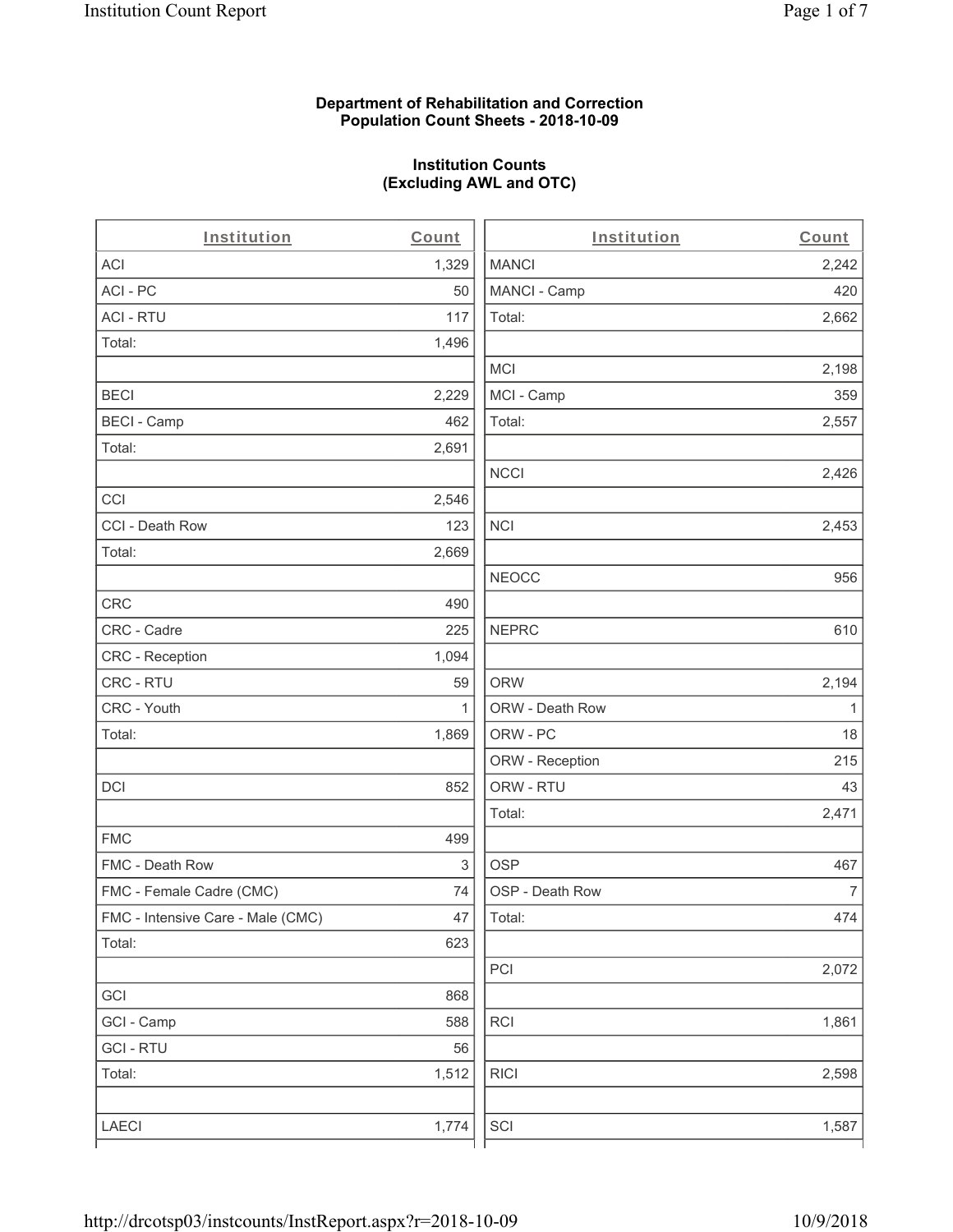### **Department of Rehabilitation and Correction Population Count Sheets - 2018-10-09**

## **Institution Counts (Excluding AWL and OTC)**

| Institution                       | Count        | Institution     | Count        |
|-----------------------------------|--------------|-----------------|--------------|
| ACI                               | 1,329        | <b>MANCI</b>    | 2,242        |
| ACI - PC                          | 50           | MANCI - Camp    | 420          |
| <b>ACI - RTU</b>                  | 117          | Total:          | 2,662        |
| Total:                            | 1,496        |                 |              |
|                                   |              | <b>MCI</b>      | 2,198        |
| <b>BECI</b>                       | 2,229        | MCI - Camp      | 359          |
| <b>BECI - Camp</b>                | 462          | Total:          | 2,557        |
| Total:                            | 2,691        |                 |              |
|                                   |              | <b>NCCI</b>     | 2,426        |
| CCI                               | 2,546        |                 |              |
| CCI - Death Row                   | 123          | <b>NCI</b>      | 2,453        |
| Total:                            | 2,669        |                 |              |
|                                   |              | <b>NEOCC</b>    | 956          |
| CRC                               | 490          |                 |              |
| CRC - Cadre                       | 225          | <b>NEPRC</b>    | 610          |
| CRC - Reception                   | 1,094        |                 |              |
| CRC - RTU                         | 59           | <b>ORW</b>      | 2,194        |
| CRC - Youth                       | $\mathbf{1}$ | ORW - Death Row | $\mathbf{1}$ |
| Total:                            | 1,869        | ORW - PC        | 18           |
|                                   |              | ORW - Reception | 215          |
| DCI                               | 852          | ORW - RTU       | 43           |
|                                   |              | Total:          | 2,471        |
| <b>FMC</b>                        | 499          |                 |              |
| FMC - Death Row                   | 3            | <b>OSP</b>      | 467          |
| FMC - Female Cadre (CMC)          | 74           | OSP - Death Row | 7            |
| FMC - Intensive Care - Male (CMC) | 47           | Total:          | 474          |
| Total:                            | 623          |                 |              |
|                                   |              | PCI             | 2,072        |
| GCI                               | 868          |                 |              |
| GCI - Camp                        | 588          | <b>RCI</b>      | 1,861        |
| <b>GCI - RTU</b>                  | 56           |                 |              |
| Total:                            | 1,512        | <b>RICI</b>     | 2,598        |
|                                   |              |                 |              |
| LAECI                             | 1,774        | SCI             | 1,587        |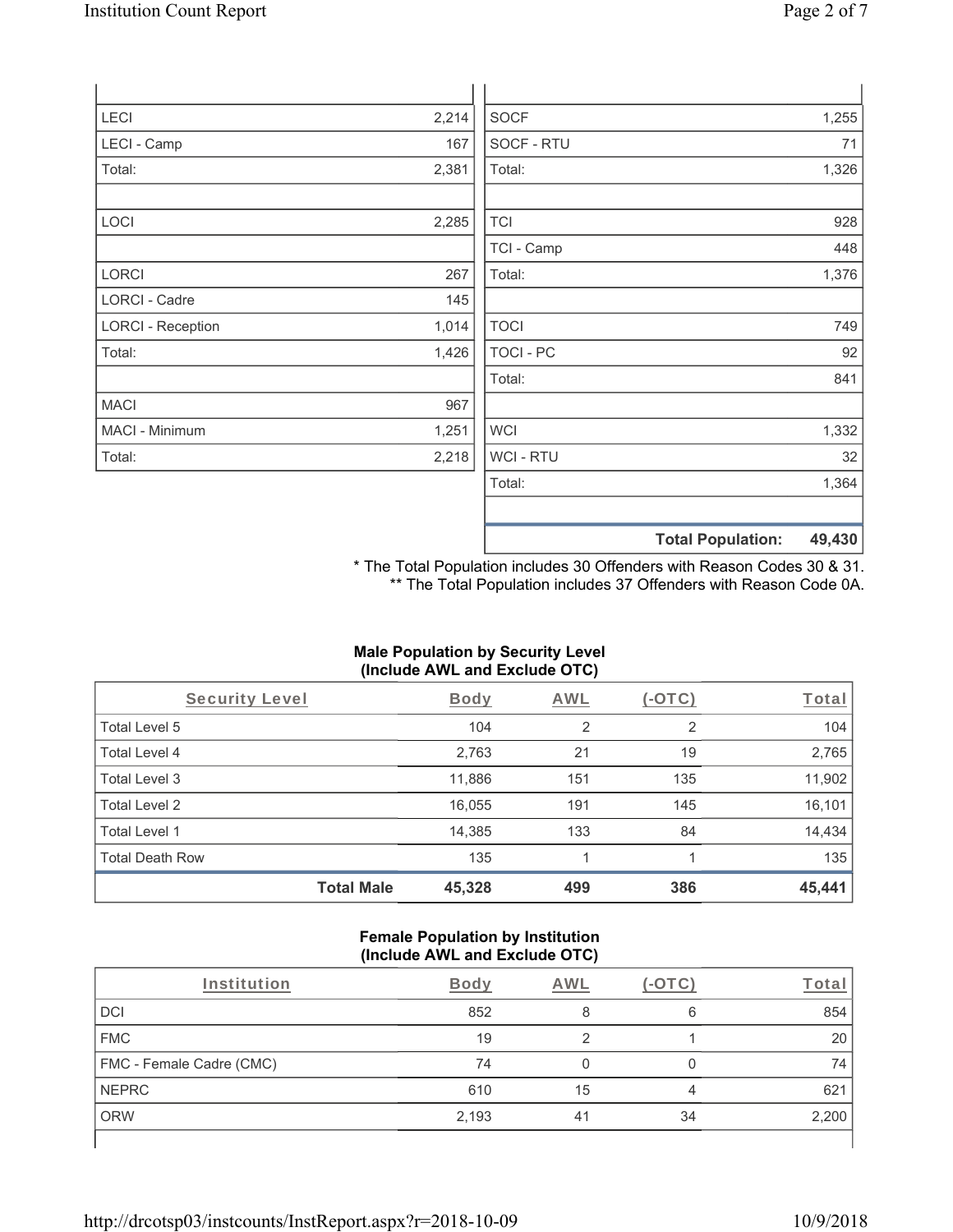| <b>LECI</b>              | 2,214 | <b>SOCF</b>      | 1,255                              |
|--------------------------|-------|------------------|------------------------------------|
| LECI - Camp              | 167   | SOCF - RTU       | 71                                 |
| Total:                   | 2,381 | Total:           | 1,326                              |
|                          |       |                  |                                    |
| <b>LOCI</b>              | 2,285 | <b>TCI</b>       | 928                                |
|                          |       | TCI - Camp       | 448                                |
| <b>LORCI</b>             | 267   | Total:           | 1,376                              |
| LORCI - Cadre            | 145   |                  |                                    |
| <b>LORCI - Reception</b> | 1,014 | <b>TOCI</b>      | 749                                |
| Total:                   | 1,426 | <b>TOCI - PC</b> | 92                                 |
|                          |       | Total:           | 841                                |
| <b>MACI</b>              | 967   |                  |                                    |
| MACI - Minimum           | 1,251 | <b>WCI</b>       | 1,332                              |
| Total:                   | 2,218 | <b>WCI-RTU</b>   | 32                                 |
|                          |       | Total:           | 1,364                              |
|                          |       |                  |                                    |
|                          |       |                  | <b>Total Population:</b><br>49,430 |

\* The Total Population includes 30 Offenders with Reason Codes 30 & 31. \*\* The Total Population includes 37 Offenders with Reason Code 0A.

### **Male Population by Security Level (Include AWL and Exclude OTC)**

| Security Level         |                   | <b>Body</b> | <b>AWL</b> | $(-\text{OTC})$ | Total  |
|------------------------|-------------------|-------------|------------|-----------------|--------|
| Total Level 5          |                   | 104         | 2          | 2               | 104    |
| Total Level 4          |                   | 2,763       | 21         | 19              | 2,765  |
| Total Level 3          |                   | 11,886      | 151        | 135             | 11,902 |
| Total Level 2          |                   | 16,055      | 191        | 145             | 16,101 |
| Total Level 1          |                   | 14,385      | 133        | 84              | 14,434 |
| <b>Total Death Row</b> |                   | 135         |            |                 | 135    |
|                        | <b>Total Male</b> | 45,328      | 499        | 386             | 45,441 |

#### **Female Population by Institution (Include AWL and Exclude OTC)**

| Institution              | <b>Body</b> | AWL |    | ⊺ota  |
|--------------------------|-------------|-----|----|-------|
| <b>DCI</b>               | 852         |     | 6  | 854   |
| <b>FMC</b>               | 19          | C   |    | 20    |
| FMC - Female Cadre (CMC) | 74          |     |    | 74    |
| <b>NEPRC</b>             | 610         | 15  | 4  | 621   |
| <b>ORW</b>               | 2,193       | 41  | 34 | 2,200 |
|                          |             |     |    |       |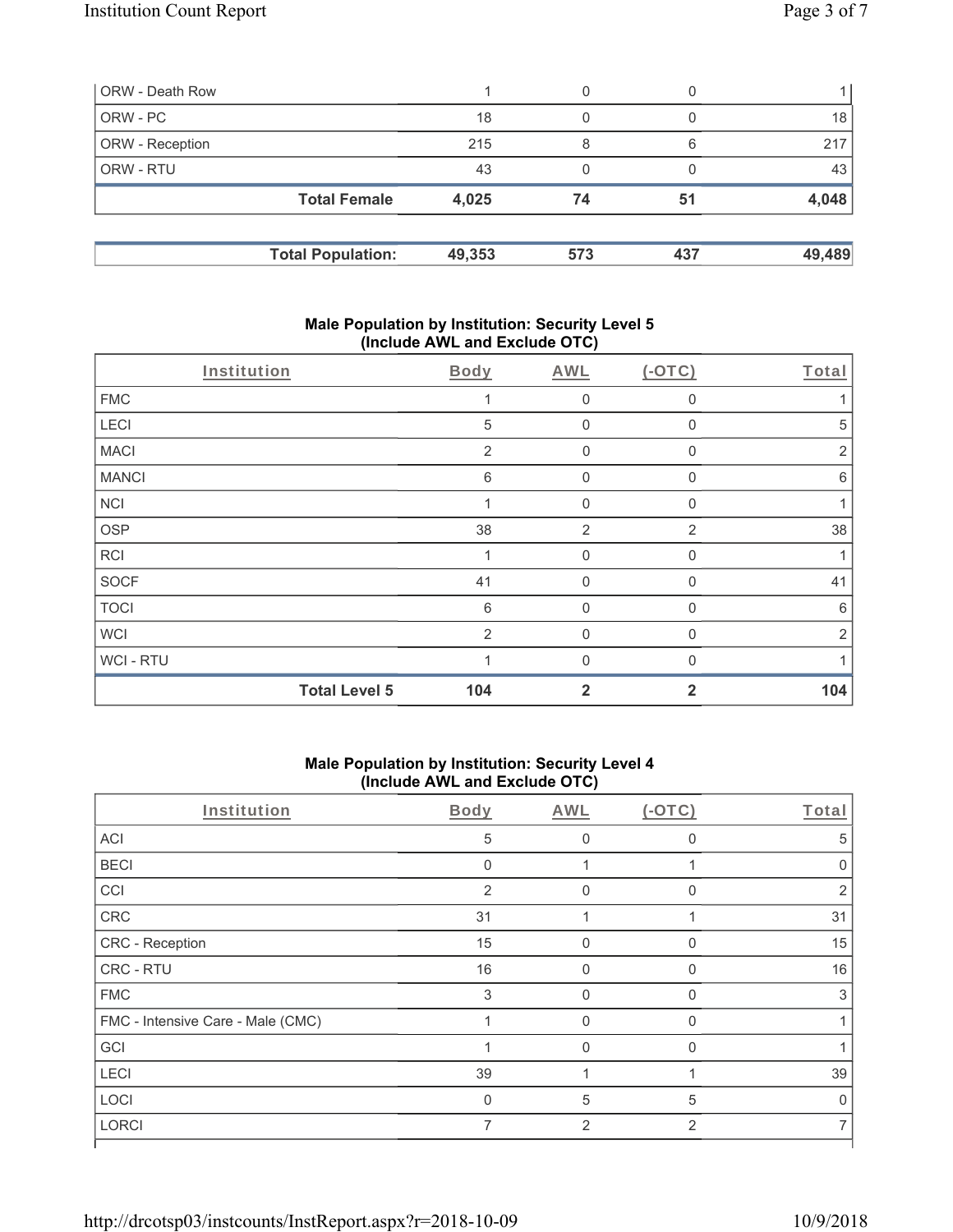| ORW - Death Row        |                          |        | 0   |     |        |
|------------------------|--------------------------|--------|-----|-----|--------|
| ORW - PC               |                          | 18     | 0   |     | 18     |
| <b>ORW</b> - Reception |                          | 215    | 8   | 6   | 217    |
| ORW - RTU              |                          | 43     | 0   |     | 43     |
|                        | <b>Total Female</b>      | 4,025  | 74  | 51  | 4,048  |
|                        | <b>Total Population:</b> | 49,353 | 573 | 437 | 49,489 |

### **Male Population by Institution: Security Level 5 (Include AWL and Exclude OTC)**

| Institution  |                      | Body           | AWL            | $(-OTC)$       | Total           |
|--------------|----------------------|----------------|----------------|----------------|-----------------|
| <b>FMC</b>   |                      |                | $\mathbf 0$    | 0              |                 |
| LECI         |                      | $\sqrt{5}$     | $\mathbf 0$    | 0              | 5               |
| <b>MACI</b>  |                      | $\overline{2}$ | $\mathbf 0$    | $\Omega$       | $\overline{2}$  |
| <b>MANCI</b> |                      | 6              | $\mathbf 0$    | 0              | $6\phantom{1}6$ |
| <b>NCI</b>   |                      |                | $\mathbf 0$    | 0              | 1               |
| <b>OSP</b>   |                      | 38             | 2              | $\overline{2}$ | 38              |
| <b>RCI</b>   |                      |                | $\mathbf{0}$   | $\mathbf{0}$   |                 |
| <b>SOCF</b>  |                      | 41             | $\mathbf{0}$   | $\Omega$       | 41              |
| <b>TOCI</b>  |                      | 6              | $\mathbf 0$    | $\mathbf{0}$   | 6               |
| <b>WCI</b>   |                      | 2              | $\mathbf{0}$   | 0              | $\overline{2}$  |
| WCI - RTU    |                      |                | $\Omega$       | U              |                 |
|              | <b>Total Level 5</b> | 104            | $\overline{2}$ | $\overline{2}$ | 104             |

# **Male Population by Institution: Security Level 4 (Include AWL and Exclude OTC)**

| Body           | AWL            | $(-OTC)$     | Total |
|----------------|----------------|--------------|-------|
| 5              | $\Omega$       | $\Omega$     | 5     |
| $\Omega$       |                |              |       |
| $\overline{2}$ | <sup>0</sup>   | $\Omega$     | 2     |
| 31             |                |              | 31    |
| 15             | $\Omega$       | $\Omega$     | 15    |
| 16             | $\Omega$       | 0            | 16    |
| 3              | $\Omega$       | $\Omega$     | 3     |
|                | $\Omega$       | $\mathbf{0}$ |       |
|                | 0              | $\Omega$     |       |
| 39             |                |              | 39    |
| $\Omega$       | 5              | 5            | U     |
| 7              | $\overline{2}$ | 2            |       |
|                |                |              |       |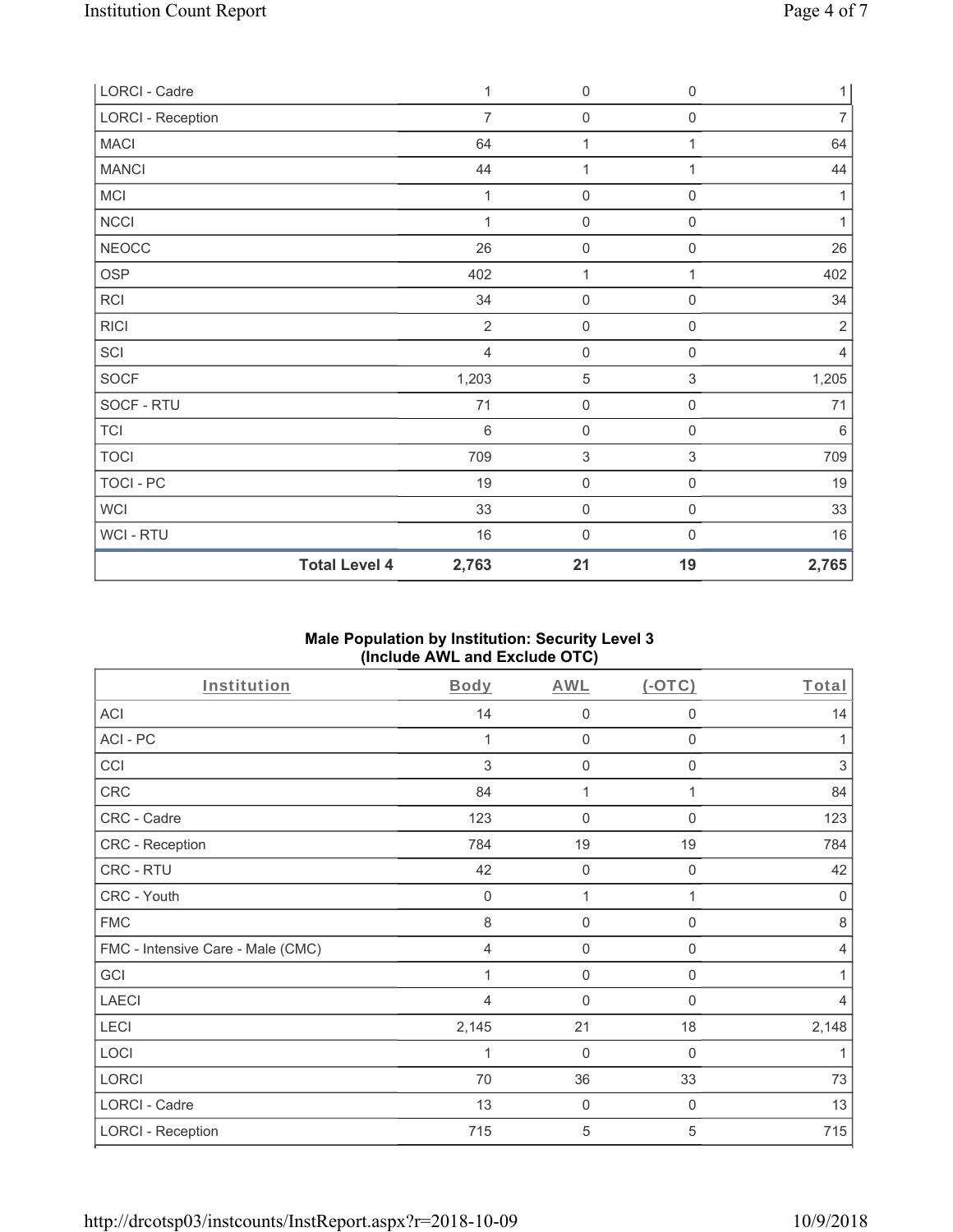| LORCI - Cadre            |                      | 1              | $\mathbf 0$         | $\boldsymbol{0}$    | $\mathbf{1}$   |
|--------------------------|----------------------|----------------|---------------------|---------------------|----------------|
| <b>LORCI - Reception</b> |                      | $\overline{7}$ | $\mathbf 0$         | $\boldsymbol{0}$    | $\overline{7}$ |
| <b>MACI</b>              |                      | 64             | 1                   | 1                   | 64             |
| <b>MANCI</b>             |                      | 44             | 1                   | 1                   | 44             |
| MCI                      |                      | 1              | $\mathsf{O}\xspace$ | 0                   | 1              |
| NCCI                     |                      | 1              | $\mathsf{O}\xspace$ | $\mathbf 0$         | 1              |
| NEOCC                    |                      | 26             | $\mathsf{O}\xspace$ | $\mathbf 0$         | 26             |
| OSP                      |                      | 402            | $\mathbf{1}$        | 1                   | 402            |
| <b>RCI</b>               |                      | 34             | $\mathsf{O}\xspace$ | $\mathsf{O}\xspace$ | 34             |
| <b>RICI</b>              |                      | $\overline{2}$ | $\mathsf{O}\xspace$ | 0                   | $\sqrt{2}$     |
| SCI                      |                      | $\overline{4}$ | $\mathbf 0$         | $\mathsf 0$         | $\overline{4}$ |
| SOCF                     |                      | 1,203          | $\sqrt{5}$          | $\sqrt{3}$          | 1,205          |
| SOCF - RTU               |                      | 71             | $\mathbf 0$         | $\mathsf{O}\xspace$ | 71             |
| <b>TCI</b>               |                      | $6\,$          | $\mathsf{O}\xspace$ | $\mathsf{O}\xspace$ | $6\,$          |
| <b>TOCI</b>              |                      | 709            | $\sqrt{3}$          | 3                   | 709            |
| TOCI - PC                |                      | 19             | $\mathsf{O}\xspace$ | $\mathsf{O}\xspace$ | 19             |
| <b>WCI</b>               |                      | 33             | $\mathsf{O}\xspace$ | $\mathbf 0$         | 33             |
| WCI - RTU                |                      | 16             | $\mathsf{O}\xspace$ | $\boldsymbol{0}$    | 16             |
|                          | <b>Total Level 4</b> | 2,763          | 21                  | 19                  | 2,765          |

## **Male Population by Institution: Security Level 3 (Include AWL and Exclude OTC)**

| Institution                       | Body        | AWL              | $(-OTC)$         | Total          |
|-----------------------------------|-------------|------------------|------------------|----------------|
| ACI                               | 14          | $\mathbf 0$      | 0                | 14             |
| ACI-PC                            |             | $\mathbf 0$      | $\mathbf 0$      | 1              |
| CCI                               | 3           | $\mathbf 0$      | $\mathbf 0$      | $\sqrt{3}$     |
| <b>CRC</b>                        | 84          | 1                | 1                | 84             |
| CRC - Cadre                       | 123         | $\mathbf{0}$     | $\Omega$         | 123            |
| CRC - Reception                   | 784         | 19               | 19               | 784            |
| CRC - RTU                         | 42          | $\boldsymbol{0}$ | 0                | 42             |
| CRC - Youth                       | $\mathbf 0$ | 1                | 1                | 0              |
| <b>FMC</b>                        | 8           | $\mathbf 0$      | 0                | $\,8\,$        |
| FMC - Intensive Care - Male (CMC) | 4           | $\mathbf 0$      | $\boldsymbol{0}$ | $\overline{4}$ |
| GCI                               |             | $\mathbf 0$      | $\mathbf 0$      | 1              |
| <b>LAECI</b>                      | 4           | $\overline{0}$   | $\mathbf 0$      | $\overline{4}$ |
| LECI                              | 2,145       | 21               | 18               | 2,148          |
| LOCI                              | 1           | $\overline{0}$   | 0                | 1              |
| LORCI                             | 70          | 36               | 33               | 73             |
| LORCI - Cadre                     | 13          | 0                | $\mathbf 0$      | 13             |
| <b>LORCI - Reception</b>          | 715         | 5                | 5                | 715            |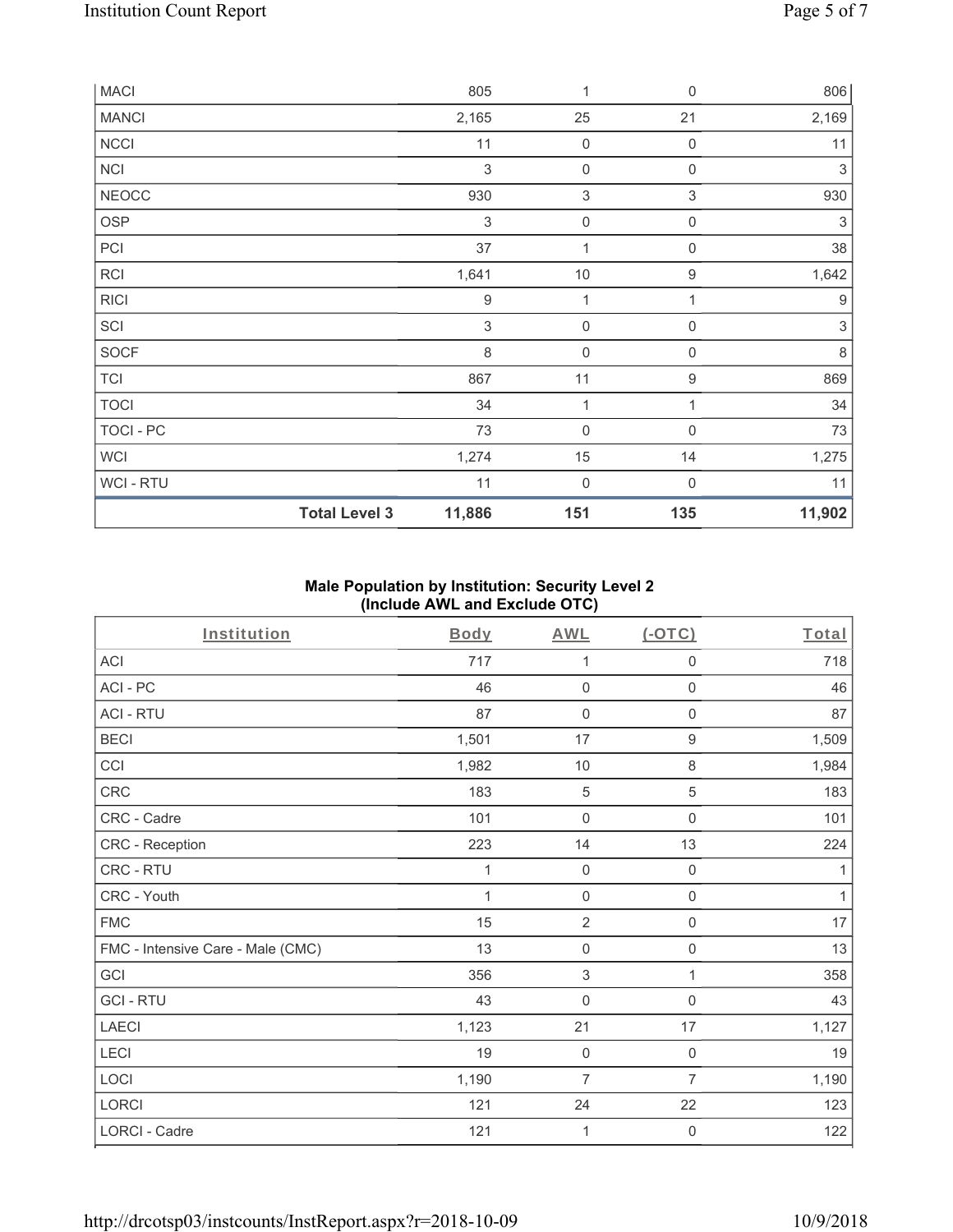| MACI         |                      | 805                       | 1                         | $\mathbf 0$               | 806                       |
|--------------|----------------------|---------------------------|---------------------------|---------------------------|---------------------------|
| <b>MANCI</b> |                      | 2,165                     | 25                        | 21                        | 2,169                     |
| <b>NCCI</b>  |                      | 11                        | $\mathsf{O}\xspace$       | $\mathbf 0$               | 11                        |
| <b>NCI</b>   |                      | 3                         | 0                         | $\mathbf 0$               | $\sqrt{3}$                |
| <b>NEOCC</b> |                      | 930                       | $\ensuremath{\mathsf{3}}$ | $\ensuremath{\mathsf{3}}$ | 930                       |
| <b>OSP</b>   |                      | $\ensuremath{\mathsf{3}}$ | $\mathsf{O}\xspace$       | $\mathbf 0$               | $\ensuremath{\mathsf{3}}$ |
| PCI          |                      | 37                        | 1                         | $\mathbf 0$               | 38                        |
| <b>RCI</b>   |                      | 1,641                     | $10$                      | $\boldsymbol{9}$          | 1,642                     |
| <b>RICI</b>  |                      | $\boldsymbol{9}$          | $\mathbf{1}$              | 1                         | $\boldsymbol{9}$          |
| SCI          |                      | 3                         | $\mathsf{O}\xspace$       | $\mathbf 0$               | $\sqrt{3}$                |
| SOCF         |                      | 8                         | $\mathbf 0$               | $\mathbf 0$               | $\,8\,$                   |
| <b>TCI</b>   |                      | 867                       | 11                        | 9                         | 869                       |
| <b>TOCI</b>  |                      | 34                        | 1                         |                           | 34                        |
| TOCI - PC    |                      | 73                        | $\mathbf 0$               | $\mathbf 0$               | 73                        |
| <b>WCI</b>   |                      | 1,274                     | 15                        | 14                        | 1,275                     |
| WCI - RTU    |                      | 11                        | $\boldsymbol{0}$          | $\mathbf 0$               | 11                        |
|              | <b>Total Level 3</b> | 11,886                    | 151                       | 135                       | 11,902                    |

## **Male Population by Institution: Security Level 2 (Include AWL and Exclude OTC)**

| Institution                       | <b>Body</b> | <b>AWL</b>          | $($ -OTC $)$        | Total        |
|-----------------------------------|-------------|---------------------|---------------------|--------------|
| <b>ACI</b>                        | 717         | 1                   | 0                   | 718          |
| ACI-PC                            | 46          | $\mathbf 0$         | 0                   | 46           |
| <b>ACI - RTU</b>                  | 87          | $\mathsf{O}\xspace$ | $\mathsf{O}\xspace$ | 87           |
| <b>BECI</b>                       | 1,501       | 17                  | $\boldsymbol{9}$    | 1,509        |
| CCI                               | 1,982       | 10                  | 8                   | 1,984        |
| CRC                               | 183         | $\mathbf 5$         | 5                   | 183          |
| CRC - Cadre                       | 101         | $\mathsf{O}\xspace$ | $\mathbf 0$         | 101          |
| CRC - Reception                   | 223         | 14                  | 13                  | 224          |
| <b>CRC - RTU</b>                  | 1           | $\mathbf 0$         | $\boldsymbol{0}$    | 1            |
| CRC - Youth                       | $\mathbf 1$ | $\mathsf{O}\xspace$ | $\mathsf{O}\xspace$ | $\mathbf{1}$ |
| <b>FMC</b>                        | 15          | $\overline{2}$      | 0                   | $17\,$       |
| FMC - Intensive Care - Male (CMC) | 13          | $\mathsf 0$         | 0                   | 13           |
| GCI                               | 356         | $\sqrt{3}$          | 1                   | 358          |
| <b>GCI-RTU</b>                    | 43          | $\mathbf 0$         | $\mathbf 0$         | 43           |
| LAECI                             | 1,123       | 21                  | 17                  | 1,127        |
| LECI                              | 19          | $\mathsf{O}\xspace$ | $\mathsf{O}\xspace$ | 19           |
| LOCI                              | 1,190       | $\overline{7}$      | $\overline{7}$      | 1,190        |
| LORCI                             | 121         | 24                  | 22                  | 123          |
| LORCI - Cadre                     | 121         | 1                   | 0                   | 122          |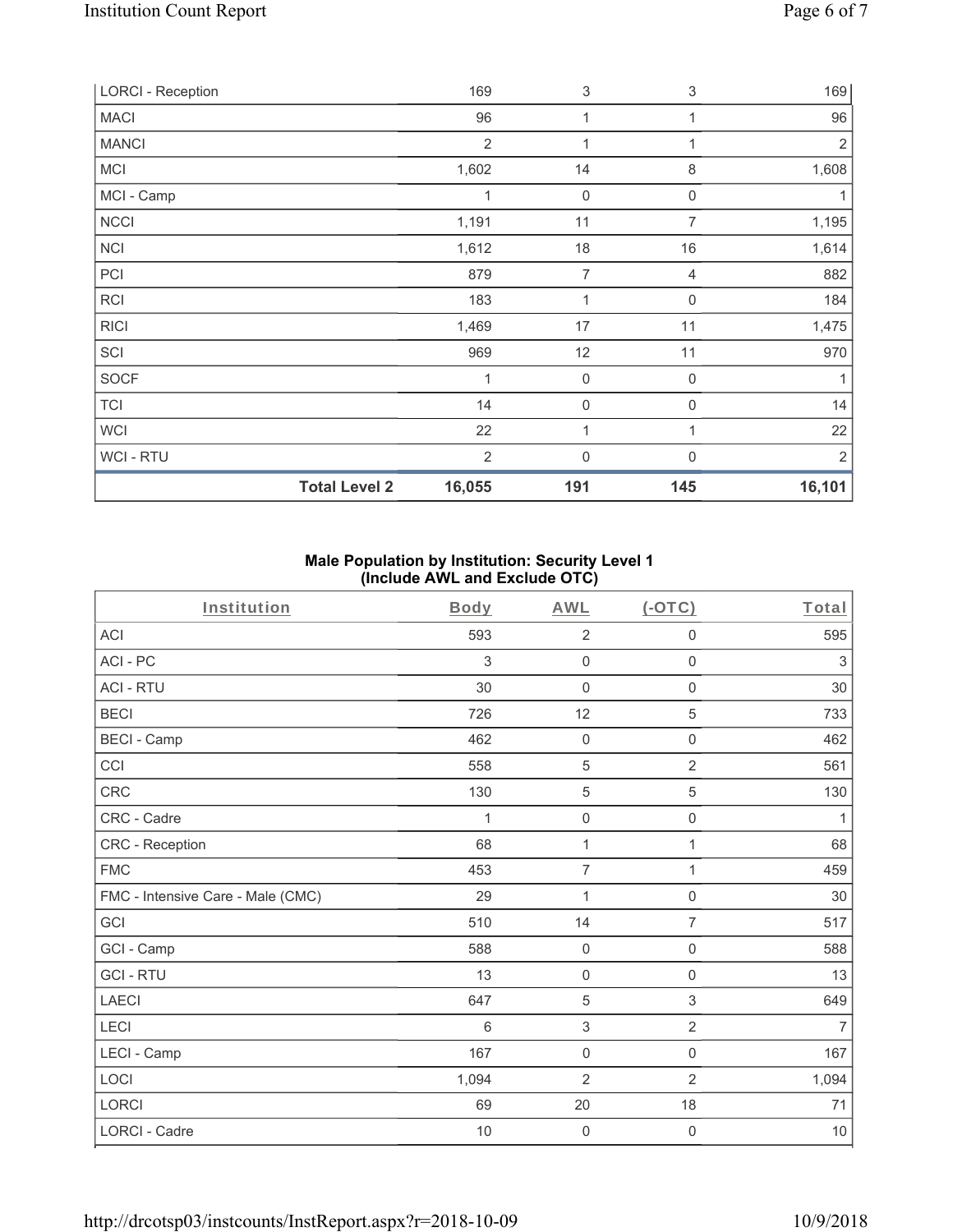| <b>LORCI - Reception</b> |                      | 169            | 3              | 3              | 169            |
|--------------------------|----------------------|----------------|----------------|----------------|----------------|
| <b>MACI</b>              |                      | 96             | 1              | 1              | 96             |
| <b>MANCI</b>             |                      | $\overline{2}$ | 1              | 1              | $\sqrt{2}$     |
| <b>MCI</b>               |                      | 1,602          | 14             | $\, 8$         | 1,608          |
| MCI - Camp               |                      | 1              | $\mathbf 0$    | 0              | 1              |
| <b>NCCI</b>              |                      | 1,191          | 11             | $\overline{7}$ | 1,195          |
| <b>NCI</b>               |                      | 1,612          | 18             | 16             | 1,614          |
| PCI                      |                      | 879            | $\overline{7}$ | 4              | 882            |
| RCI                      |                      | 183            | 1              | $\mathbf 0$    | 184            |
| <b>RICI</b>              |                      | 1,469          | 17             | 11             | 1,475          |
| SCI                      |                      | 969            | 12             | 11             | 970            |
| <b>SOCF</b>              |                      | 1              | $\mathbf 0$    | $\mathbf 0$    | 1              |
| <b>TCI</b>               |                      | 14             | $\mathbf 0$    | 0              | 14             |
| <b>WCI</b>               |                      | 22             | 1              | 1              | 22             |
| WCI - RTU                |                      | 2              | $\mathbf 0$    | $\Omega$       | $\overline{2}$ |
|                          | <b>Total Level 2</b> | 16,055         | 191            | 145            | 16,101         |

## **Male Population by Institution: Security Level 1 (Include AWL and Exclude OTC)**

| Institution                       | Body       | <b>AWL</b>          | $(-OTC)$            | Total          |
|-----------------------------------|------------|---------------------|---------------------|----------------|
| <b>ACI</b>                        | 593        | $\overline{2}$      | 0                   | 595            |
| ACI-PC                            | $\sqrt{3}$ | $\mathsf{O}\xspace$ | $\mathsf{O}\xspace$ | $\mathfrak{Z}$ |
| <b>ACI - RTU</b>                  | 30         | $\mathsf{O}\xspace$ | $\boldsymbol{0}$    | 30             |
| <b>BECI</b>                       | 726        | 12                  | 5                   | 733            |
| <b>BECI - Camp</b>                | 462        | $\mathsf{O}\xspace$ | $\mathsf{O}\xspace$ | 462            |
| CCI                               | 558        | $\mathbf 5$         | $\overline{2}$      | 561            |
| CRC                               | 130        | $\sqrt{5}$          | 5                   | 130            |
| CRC - Cadre                       | 1          | $\mathsf{O}\xspace$ | $\mathbf 0$         | $\mathbf{1}$   |
| CRC - Reception                   | 68         | $\mathbf{1}$        | $\mathbf{1}$        | 68             |
| <b>FMC</b>                        | 453        | $\overline{7}$      | $\mathbf{1}$        | 459            |
| FMC - Intensive Care - Male (CMC) | 29         | $\mathbf{1}$        | 0                   | $30\,$         |
| GCI                               | 510        | 14                  | $\overline{7}$      | 517            |
| GCI - Camp                        | 588        | $\mathsf{O}\xspace$ | $\mathsf{O}\xspace$ | 588            |
| <b>GCI-RTU</b>                    | 13         | $\mathsf{O}\xspace$ | $\mathsf{O}\xspace$ | 13             |
| <b>LAECI</b>                      | 647        | $\mathbf 5$         | 3                   | 649            |
| LECI                              | 6          | $\sqrt{3}$          | $\overline{2}$      | $\overline{7}$ |
| LECI - Camp                       | 167        | $\mathsf{O}\xspace$ | $\mathsf 0$         | 167            |
| LOCI                              | 1,094      | $\overline{2}$      | $\overline{2}$      | 1,094          |
| LORCI                             | 69         | 20                  | 18                  | 71             |
| LORCI - Cadre                     | 10         | $\mathsf{O}\xspace$ | 0                   | $10$           |